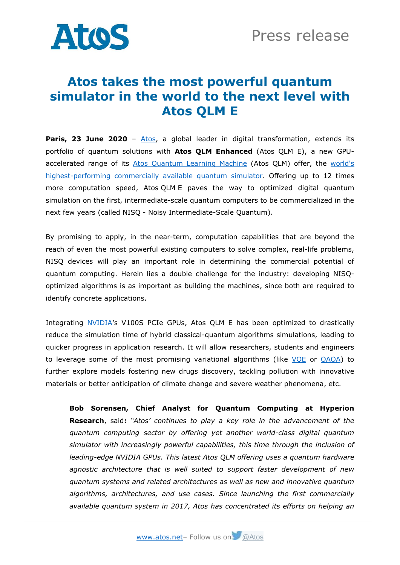

## **Atos takes the most powerful quantum simulator in the world to the next level with Atos QLM E**

**Paris, 23 June 2020** - [Atos,](https://atos.net/en/) a global leader in digital transformation, extends its portfolio of quantum solutions with **Atos QLM Enhanced** (Atos QLM E), a new GPUaccelerated range of its [Atos Quantum Learning Machine](https://atos.net/en/solutions/quantum-learning-machine) (Atos QLM) offer, the [world's](https://atos.net/en/2017/press-release/general-press-releases_2017_07_04/atos-launches-highest-performing-quantum-simulator-world)  [highest-performing commercially available](https://atos.net/en/2017/press-release/general-press-releases_2017_07_04/atos-launches-highest-performing-quantum-simulator-world) quantum simulator. Offering up to 12 times more computation speed, Atos QLM E paves the way to optimized digital quantum simulation on the first, intermediate-scale quantum computers to be commercialized in the next few years (called NISQ - Noisy Intermediate-Scale Quantum).

By promising to apply, in the near-term, computation capabilities that are beyond the reach of even the most powerful existing computers to solve complex, real-life problems, NISQ devices will play an important role in determining the commercial potential of quantum computing. Herein lies a double challenge for the industry: developing NISQoptimized algorithms is as important as building the machines, since both are required to identify concrete applications.

Integrating [NVIDIA](https://www.nvidia.com/)'s V100S PCIe GPUs, Atos QLM E has been optimized to drastically reduce the simulation time of hybrid classical-quantum algorithms simulations, leading to quicker progress in application research. It will allow researchers, students and engineers to leverage some of the most promising variational algorithms (like [VQE](https://en.wikipedia.org/wiki/Quantum_algorithm#Variational_quantum_eigensolver) or [QAOA\)](https://en.wikipedia.org/wiki/Quantum_optimization_algorithms#Quantum_Approximate_Optimization_Algorithm) to further explore models fostering new drugs discovery, tackling pollution with innovative materials or better anticipation of climate change and severe weather phenomena, etc.

**Bob Sorensen, Chief Analyst for Quantum Computing at Hyperion Research**, said**:** *"Atos' continues to play a key role in the advancement of the quantum computing sector by offering yet another world-class digital quantum simulator with increasingly powerful capabilities, this time through the inclusion of leading-edge NVIDIA GPUs. This latest Atos QLM offering uses a quantum hardware agnostic architecture that is well suited to support faster development of new quantum systems and related architectures as well as new and innovative quantum algorithms, architectures, and use cases. Since launching the first commercially available quantum system in 2017, Atos has concentrated its efforts on helping an*